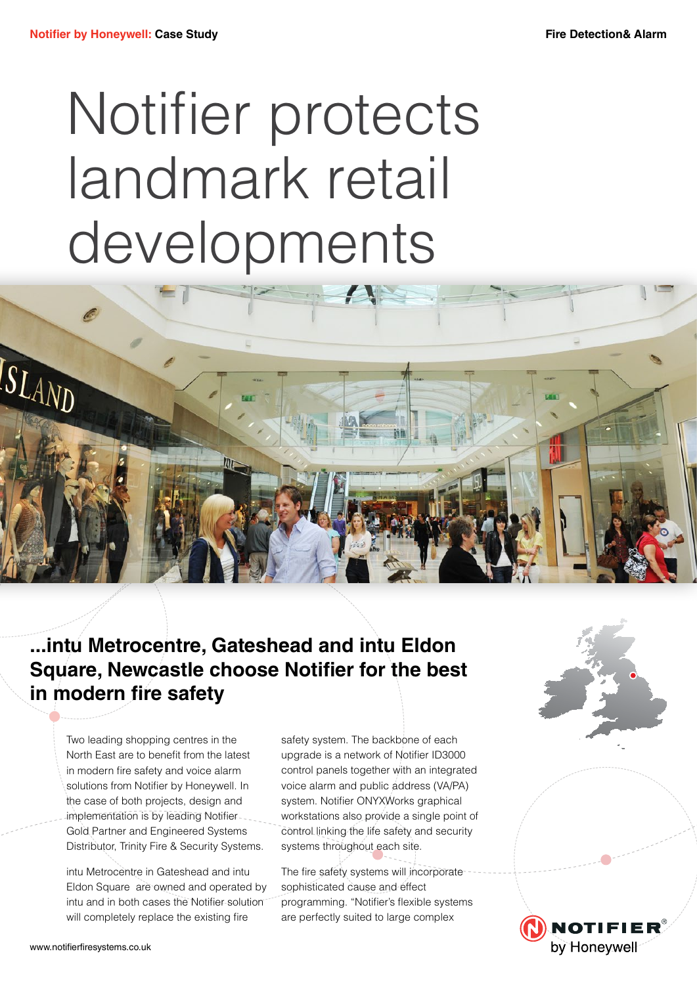## Notifier protects landmark retail developments



**...intu Metrocentre, Gateshead and intu Eldon Square, Newcastle choose Notifier for the best in modern fire safety**

Two leading shopping centres in the North East are to benefit from the latest in modern fire safety and voice alarm solutions from Notifier by Honeywell. In the case of both projects, design and implementation is by leading Notifier. Gold Partner and Engineered Systems Distributor, Trinity Fire & Security Systems.

intu Metrocentre in Gateshead and intu Eldon Square are owned and operated by intu and in both cases the Notifier solution will completely replace the existing fire

safety system. The backbone of each upgrade is a network of Notifier ID3000 control panels together with an integrated voice alarm and public address (VA/PA) system. Notifier ONYXWorks graphical workstations also provide a single point of control linking the life safety and security systems throughout each site.

The fire safety systems will incorporate sophisticated cause and effect programming. "Notifier's flexible systems are perfectly suited to large complex